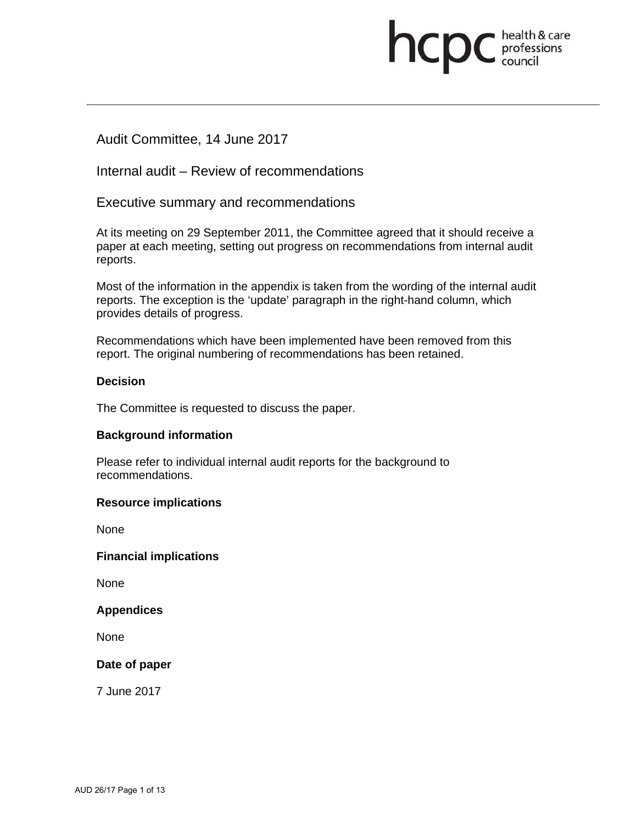# **health & care**

# Audit Committee, 14 June 2017

Internal audit – Review of recommendations

Executive summary and recommendations

At its meeting on 29 September 2011, the Committee agreed that it should receive a paper at each meeting, setting out progress on recommendations from internal audit reports.

Most of the information in the appendix is taken from the wording of the internal audit reports. The exception is the 'update' paragraph in the right-hand column, which provides details of progress.

Recommendations which have been implemented have been removed from this report. The original numbering of recommendations has been retained.

#### **Decision**

The Committee is requested to discuss the paper.

#### **Background information**

Please refer to individual internal audit reports for the background to recommendations.

#### **Resource implications**

None

#### **Financial implications**

None

#### **Appendices**

None

#### **Date of paper**

7 June 2017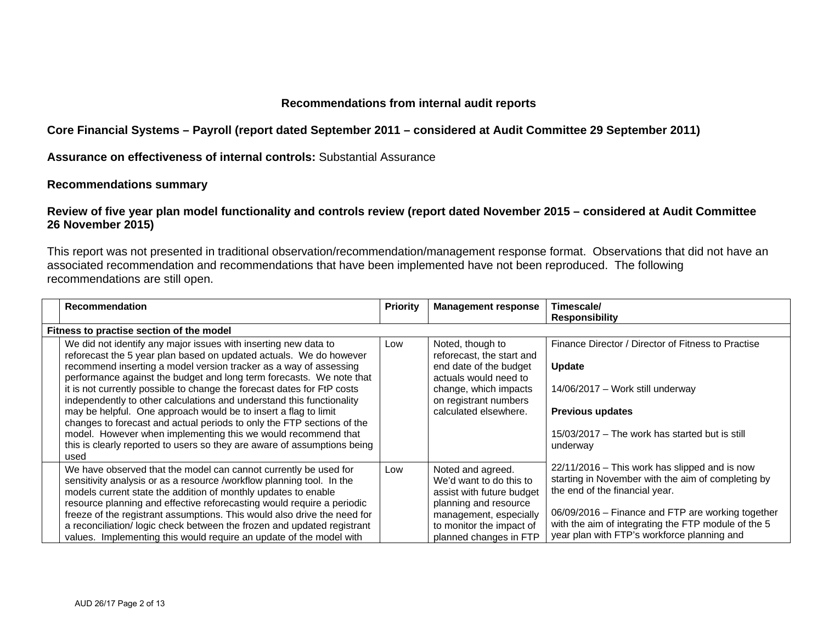#### **Recommendations from internal audit reports**

**Core Financial Systems – Payroll (report dated September 2011 – considered at Audit Committee 29 September 2011)** 

**Assurance on effectiveness of internal controls:** Substantial Assurance

#### **Recommendations summary**

#### **Review of five year plan model functionality and controls review (report dated November 2015 – considered at Audit Committee 26 November 2015)**

This report was not presented in traditional observation/recommendation/management response format. Observations that did not have an associated recommendation and recommendations that have been implemented have not been reproduced. The following recommendations are still open.

| Recommendation                                                                                                                                                                                                                                                                                                                                                                                                                                                                                                                                                                                                                                                                                                                           | <b>Priority</b> | <b>Management response</b>                                                                                                                                                         | Timescale/                                                                                                                                                                                                                                                                                         |
|------------------------------------------------------------------------------------------------------------------------------------------------------------------------------------------------------------------------------------------------------------------------------------------------------------------------------------------------------------------------------------------------------------------------------------------------------------------------------------------------------------------------------------------------------------------------------------------------------------------------------------------------------------------------------------------------------------------------------------------|-----------------|------------------------------------------------------------------------------------------------------------------------------------------------------------------------------------|----------------------------------------------------------------------------------------------------------------------------------------------------------------------------------------------------------------------------------------------------------------------------------------------------|
|                                                                                                                                                                                                                                                                                                                                                                                                                                                                                                                                                                                                                                                                                                                                          |                 |                                                                                                                                                                                    | <b>Responsibility</b>                                                                                                                                                                                                                                                                              |
| Fitness to practise section of the model                                                                                                                                                                                                                                                                                                                                                                                                                                                                                                                                                                                                                                                                                                 |                 |                                                                                                                                                                                    |                                                                                                                                                                                                                                                                                                    |
| We did not identify any major issues with inserting new data to<br>reforecast the 5 year plan based on updated actuals. We do however<br>recommend inserting a model version tracker as a way of assessing<br>performance against the budget and long term forecasts. We note that<br>it is not currently possible to change the forecast dates for FtP costs<br>independently to other calculations and understand this functionality<br>may be helpful. One approach would be to insert a flag to limit<br>changes to forecast and actual periods to only the FTP sections of the<br>model. However when implementing this we would recommend that<br>this is clearly reported to users so they are aware of assumptions being<br>used | Low             | Noted, though to<br>reforecast, the start and<br>end date of the budget<br>actuals would need to<br>change, which impacts<br>on registrant numbers<br>calculated elsewhere.        | Finance Director / Director of Fitness to Practise<br><b>Update</b><br>14/06/2017 - Work still underway<br><b>Previous updates</b><br>15/03/2017 – The work has started but is still<br>underway                                                                                                   |
| We have observed that the model can cannot currently be used for<br>sensitivity analysis or as a resource /workflow planning tool. In the<br>models current state the addition of monthly updates to enable<br>resource planning and effective reforecasting would require a periodic<br>freeze of the registrant assumptions. This would also drive the need for<br>a reconciliation/logic check between the frozen and updated registrant<br>values. Implementing this would require an update of the model with                                                                                                                                                                                                                       | Low             | Noted and agreed.<br>We'd want to do this to<br>assist with future budget<br>planning and resource<br>management, especially<br>to monitor the impact of<br>planned changes in FTP | $22/11/2016$ – This work has slipped and is now<br>starting in November with the aim of completing by<br>the end of the financial year.<br>06/09/2016 – Finance and FTP are working together<br>with the aim of integrating the FTP module of the 5<br>year plan with FTP's workforce planning and |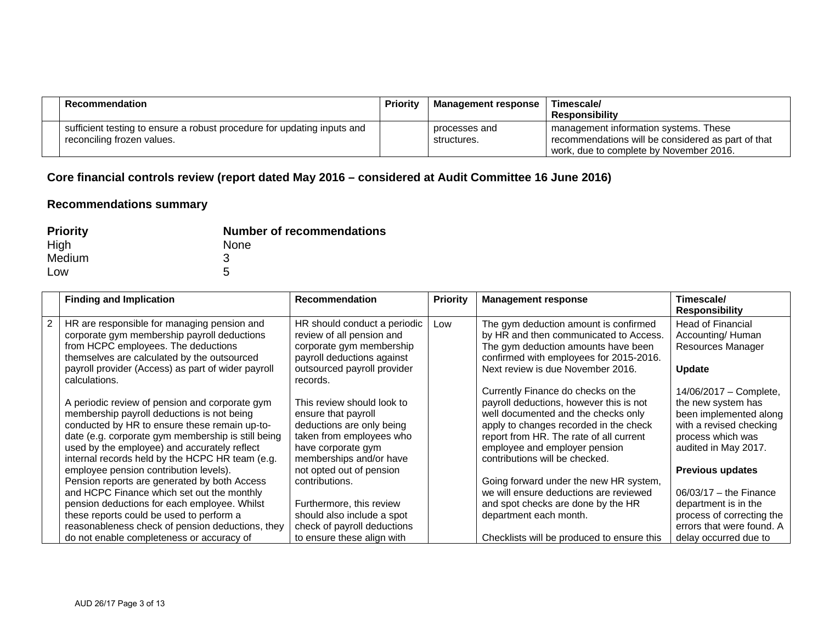| <b>Recommendation</b>                                                                                 | Priority | <b>Management response</b>   | Timescale/<br><b>Responsibility</b>                                                                                                    |
|-------------------------------------------------------------------------------------------------------|----------|------------------------------|----------------------------------------------------------------------------------------------------------------------------------------|
| sufficient testing to ensure a robust procedure for updating inputs and<br>reconciling frozen values. |          | processes and<br>structures. | management information systems. These<br>recommendations will be considered as part of that<br>work, due to complete by November 2016. |

## **Core financial controls review (report dated May 2016 – considered at Audit Committee 16 June 2016)**

| <b>Priority</b> | <b>Number of recommendations</b> |
|-----------------|----------------------------------|
| High            | <b>None</b>                      |
| Medium          | 3                                |
| Low             | 5                                |

| <b>Finding and Implication</b>                     | <b>Recommendation</b>        | <b>Priority</b> | <b>Management response</b>                 | Timescale/                |
|----------------------------------------------------|------------------------------|-----------------|--------------------------------------------|---------------------------|
|                                                    |                              |                 |                                            | <b>Responsibility</b>     |
| HR are responsible for managing pension and        | HR should conduct a periodic | Low             | The gym deduction amount is confirmed      | <b>Head of Financial</b>  |
| corporate gym membership payroll deductions        | review of all pension and    |                 | by HR and then communicated to Access.     | Accounting/Human          |
| from HCPC employees. The deductions                | corporate gym membership     |                 | The gym deduction amounts have been        | <b>Resources Manager</b>  |
| themselves are calculated by the outsourced        | payroll deductions against   |                 | confirmed with employees for 2015-2016.    |                           |
| payroll provider (Access) as part of wider payroll | outsourced payroll provider  |                 | Next review is due November 2016.          | <b>Update</b>             |
| calculations.                                      | records.                     |                 |                                            |                           |
|                                                    |                              |                 | Currently Finance do checks on the         | 14/06/2017 - Complete,    |
| A periodic review of pension and corporate gym     | This review should look to   |                 | payroll deductions, however this is not    | the new system has        |
| membership payroll deductions is not being         | ensure that payroll          |                 | well documented and the checks only        | been implemented along    |
| conducted by HR to ensure these remain up-to-      | deductions are only being    |                 | apply to changes recorded in the check     | with a revised checking   |
| date (e.g. corporate gym membership is still being | taken from employees who     |                 | report from HR. The rate of all current    | process which was         |
| used by the employee) and accurately reflect       | have corporate gym           |                 | employee and employer pension              | audited in May 2017.      |
| internal records held by the HCPC HR team (e.g.    | memberships and/or have      |                 | contributions will be checked.             |                           |
| employee pension contribution levels).             | not opted out of pension     |                 |                                            | <b>Previous updates</b>   |
| Pension reports are generated by both Access       | contributions.               |                 | Going forward under the new HR system,     |                           |
| and HCPC Finance which set out the monthly         |                              |                 | we will ensure deductions are reviewed     | $06/03/17$ – the Finance  |
| pension deductions for each employee. Whilst       | Furthermore, this review     |                 | and spot checks are done by the HR         | department is in the      |
| these reports could be used to perform a           | should also include a spot   |                 | department each month.                     | process of correcting the |
| reasonableness check of pension deductions, they   | check of payroll deductions  |                 |                                            | errors that were found. A |
| do not enable completeness or accuracy of          | to ensure these align with   |                 | Checklists will be produced to ensure this | delay occurred due to     |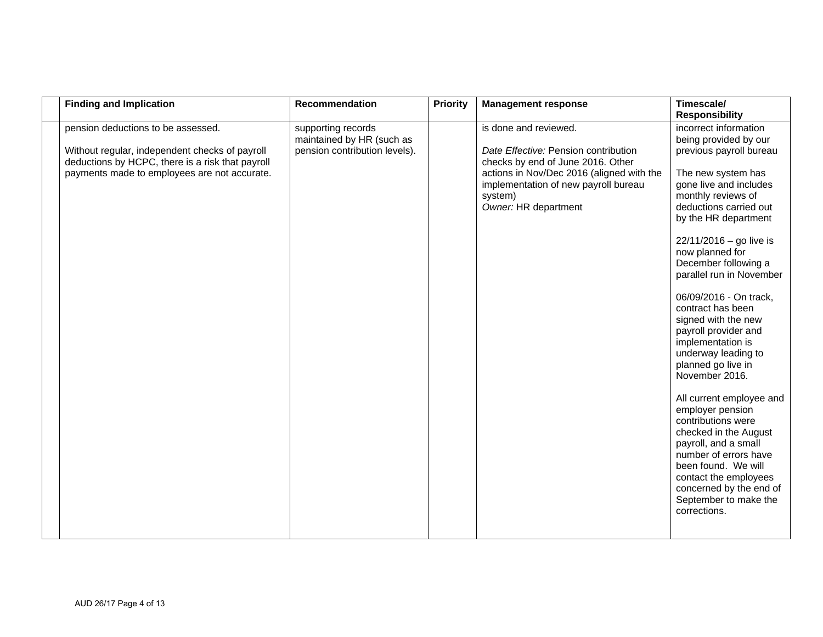| <b>Finding and Implication</b>                                                                                                                                                           | Recommendation                                                                   | <b>Priority</b> | <b>Management response</b>                                                                                                                                                                                                 | Timescale/<br><b>Responsibility</b>                                                                                                                                                                                                                                                                                                                                                                                                                                                                                                                                                                                                                                                                                                                         |
|------------------------------------------------------------------------------------------------------------------------------------------------------------------------------------------|----------------------------------------------------------------------------------|-----------------|----------------------------------------------------------------------------------------------------------------------------------------------------------------------------------------------------------------------------|-------------------------------------------------------------------------------------------------------------------------------------------------------------------------------------------------------------------------------------------------------------------------------------------------------------------------------------------------------------------------------------------------------------------------------------------------------------------------------------------------------------------------------------------------------------------------------------------------------------------------------------------------------------------------------------------------------------------------------------------------------------|
| pension deductions to be assessed.<br>Without regular, independent checks of payroll<br>deductions by HCPC, there is a risk that payroll<br>payments made to employees are not accurate. | supporting records<br>maintained by HR (such as<br>pension contribution levels). |                 | is done and reviewed.<br>Date Effective: Pension contribution<br>checks by end of June 2016. Other<br>actions in Nov/Dec 2016 (aligned with the<br>implementation of new payroll bureau<br>system)<br>Owner: HR department | incorrect information<br>being provided by our<br>previous payroll bureau<br>The new system has<br>gone live and includes<br>monthly reviews of<br>deductions carried out<br>by the HR department<br>$22/11/2016 -$ go live is<br>now planned for<br>December following a<br>parallel run in November<br>06/09/2016 - On track,<br>contract has been<br>signed with the new<br>payroll provider and<br>implementation is<br>underway leading to<br>planned go live in<br>November 2016.<br>All current employee and<br>employer pension<br>contributions were<br>checked in the August<br>payroll, and a small<br>number of errors have<br>been found. We will<br>contact the employees<br>concerned by the end of<br>September to make the<br>corrections. |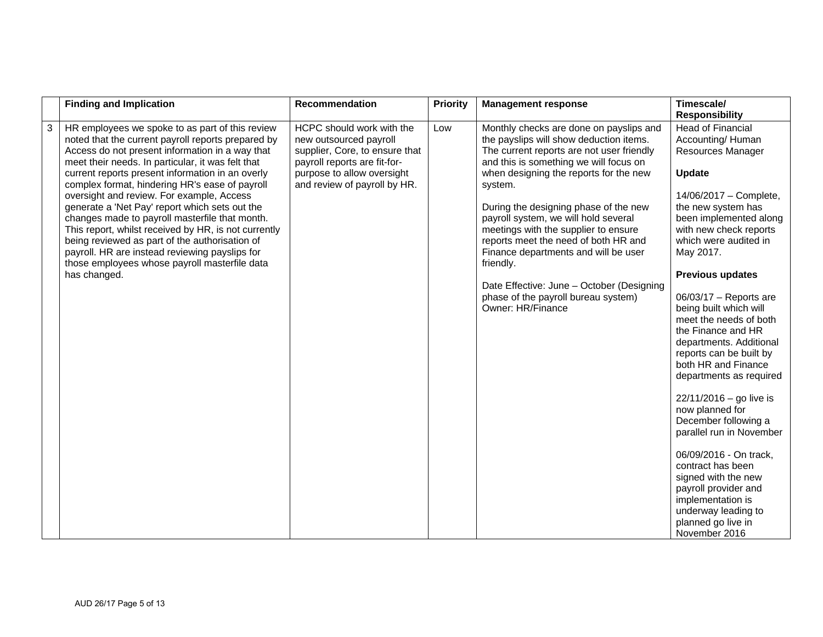|   | <b>Finding and Implication</b>                                                                                                                                                                                                                                                                                                                                                                                                                                                                                                                                                                                                                                                                    | <b>Recommendation</b>                                                                                                                                                               | <b>Priority</b> | <b>Management response</b>                                                                                                                                                                                                                                                                                                                                                                                                                                                                                                                                    | Timescale/<br><b>Responsibility</b>                                                                                                                                                                                                                                                                                                                                                                                                                                                                                                                                                                                                                                                                                                                        |
|---|---------------------------------------------------------------------------------------------------------------------------------------------------------------------------------------------------------------------------------------------------------------------------------------------------------------------------------------------------------------------------------------------------------------------------------------------------------------------------------------------------------------------------------------------------------------------------------------------------------------------------------------------------------------------------------------------------|-------------------------------------------------------------------------------------------------------------------------------------------------------------------------------------|-----------------|---------------------------------------------------------------------------------------------------------------------------------------------------------------------------------------------------------------------------------------------------------------------------------------------------------------------------------------------------------------------------------------------------------------------------------------------------------------------------------------------------------------------------------------------------------------|------------------------------------------------------------------------------------------------------------------------------------------------------------------------------------------------------------------------------------------------------------------------------------------------------------------------------------------------------------------------------------------------------------------------------------------------------------------------------------------------------------------------------------------------------------------------------------------------------------------------------------------------------------------------------------------------------------------------------------------------------------|
| 3 | HR employees we spoke to as part of this review<br>noted that the current payroll reports prepared by<br>Access do not present information in a way that<br>meet their needs. In particular, it was felt that<br>current reports present information in an overly<br>complex format, hindering HR's ease of payroll<br>oversight and review. For example, Access<br>generate a 'Net Pay' report which sets out the<br>changes made to payroll masterfile that month.<br>This report, whilst received by HR, is not currently<br>being reviewed as part of the authorisation of<br>payroll. HR are instead reviewing payslips for<br>those employees whose payroll masterfile data<br>has changed. | HCPC should work with the<br>new outsourced payroll<br>supplier, Core, to ensure that<br>payroll reports are fit-for-<br>purpose to allow oversight<br>and review of payroll by HR. | Low             | Monthly checks are done on payslips and<br>the payslips will show deduction items.<br>The current reports are not user friendly<br>and this is something we will focus on<br>when designing the reports for the new<br>system.<br>During the designing phase of the new<br>payroll system, we will hold several<br>meetings with the supplier to ensure<br>reports meet the need of both HR and<br>Finance departments and will be user<br>friendly.<br>Date Effective: June - October (Designing<br>phase of the payroll bureau system)<br>Owner: HR/Finance | <b>Head of Financial</b><br>Accounting/Human<br>Resources Manager<br><b>Update</b><br>14/06/2017 - Complete,<br>the new system has<br>been implemented along<br>with new check reports<br>which were audited in<br>May 2017.<br><b>Previous updates</b><br>$06/03/17$ - Reports are<br>being built which will<br>meet the needs of both<br>the Finance and HR<br>departments. Additional<br>reports can be built by<br>both HR and Finance<br>departments as required<br>$22/11/2016 -$ go live is<br>now planned for<br>December following a<br>parallel run in November<br>06/09/2016 - On track,<br>contract has been<br>signed with the new<br>payroll provider and<br>implementation is<br>underway leading to<br>planned go live in<br>November 2016 |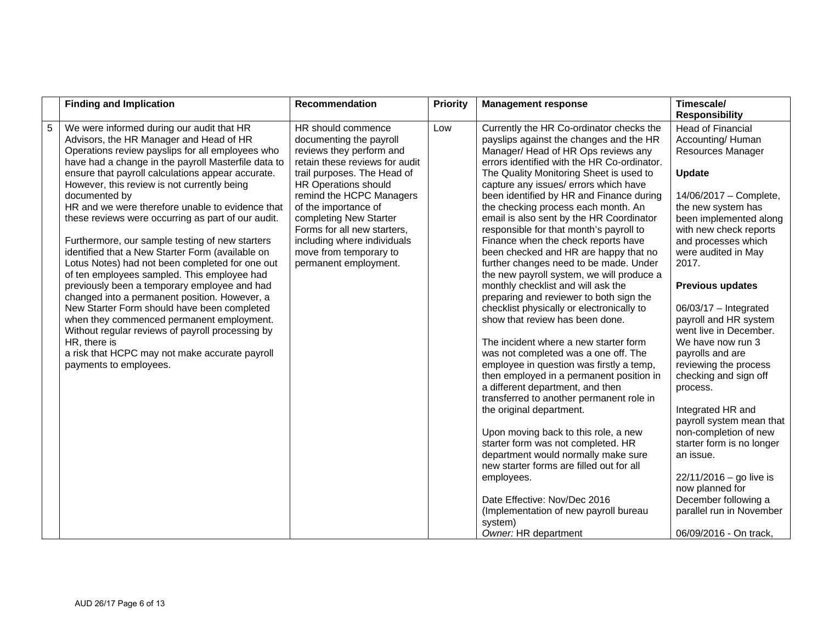|   | <b>Finding and Implication</b>                                                                                                                                                                                                                                                                                                                                                                                                                                                                                                                                                                                                                                                                                                                                                                                                                                                                                                                                                       | Recommendation                                                                                                                                                                                                                                                                                                                                                           | <b>Priority</b> | <b>Management response</b>                                                                                                                                                                                                                                                                                                                                                                                                                                                                                                                                                                                                                                                                                                                                                                                                                                                                                                                                                                                                                                                                                                                                                                                                                                                                                                                                      | Timescale/<br><b>Responsibility</b>                                                                                                                                                                                                                                                                                                                                                                                                                                                                                                                                                                                                                                                                             |
|---|--------------------------------------------------------------------------------------------------------------------------------------------------------------------------------------------------------------------------------------------------------------------------------------------------------------------------------------------------------------------------------------------------------------------------------------------------------------------------------------------------------------------------------------------------------------------------------------------------------------------------------------------------------------------------------------------------------------------------------------------------------------------------------------------------------------------------------------------------------------------------------------------------------------------------------------------------------------------------------------|--------------------------------------------------------------------------------------------------------------------------------------------------------------------------------------------------------------------------------------------------------------------------------------------------------------------------------------------------------------------------|-----------------|-----------------------------------------------------------------------------------------------------------------------------------------------------------------------------------------------------------------------------------------------------------------------------------------------------------------------------------------------------------------------------------------------------------------------------------------------------------------------------------------------------------------------------------------------------------------------------------------------------------------------------------------------------------------------------------------------------------------------------------------------------------------------------------------------------------------------------------------------------------------------------------------------------------------------------------------------------------------------------------------------------------------------------------------------------------------------------------------------------------------------------------------------------------------------------------------------------------------------------------------------------------------------------------------------------------------------------------------------------------------|-----------------------------------------------------------------------------------------------------------------------------------------------------------------------------------------------------------------------------------------------------------------------------------------------------------------------------------------------------------------------------------------------------------------------------------------------------------------------------------------------------------------------------------------------------------------------------------------------------------------------------------------------------------------------------------------------------------------|
| 5 | We were informed during our audit that HR<br>Advisors, the HR Manager and Head of HR<br>Operations review payslips for all employees who<br>have had a change in the payroll Masterfile data to<br>ensure that payroll calculations appear accurate.<br>However, this review is not currently being<br>documented by<br>HR and we were therefore unable to evidence that<br>these reviews were occurring as part of our audit.<br>Furthermore, our sample testing of new starters<br>identified that a New Starter Form (available on<br>Lotus Notes) had not been completed for one out<br>of ten employees sampled. This employee had<br>previously been a temporary employee and had<br>changed into a permanent position. However, a<br>New Starter Form should have been completed<br>when they commenced permanent employment.<br>Without regular reviews of payroll processing by<br>HR, there is<br>a risk that HCPC may not make accurate payroll<br>payments to employees. | HR should commence<br>documenting the payroll<br>reviews they perform and<br>retain these reviews for audit<br>trail purposes. The Head of<br><b>HR Operations should</b><br>remind the HCPC Managers<br>of the importance of<br>completing New Starter<br>Forms for all new starters,<br>including where individuals<br>move from temporary to<br>permanent employment. | Low             | Currently the HR Co-ordinator checks the<br>payslips against the changes and the HR<br>Manager/ Head of HR Ops reviews any<br>errors identified with the HR Co-ordinator.<br>The Quality Monitoring Sheet is used to<br>capture any issues/ errors which have<br>been identified by HR and Finance during<br>the checking process each month. An<br>email is also sent by the HR Coordinator<br>responsible for that month's payroll to<br>Finance when the check reports have<br>been checked and HR are happy that no<br>further changes need to be made. Under<br>the new payroll system, we will produce a<br>monthly checklist and will ask the<br>preparing and reviewer to both sign the<br>checklist physically or electronically to<br>show that review has been done.<br>The incident where a new starter form<br>was not completed was a one off. The<br>employee in question was firstly a temp,<br>then employed in a permanent position in<br>a different department, and then<br>transferred to another permanent role in<br>the original department.<br>Upon moving back to this role, a new<br>starter form was not completed. HR<br>department would normally make sure<br>new starter forms are filled out for all<br>employees.<br>Date Effective: Nov/Dec 2016<br>(Implementation of new payroll bureau<br>system)<br>Owner: HR department | <b>Head of Financial</b><br>Accounting/Human<br>Resources Manager<br><b>Update</b><br>14/06/2017 - Complete,<br>the new system has<br>been implemented along<br>with new check reports<br>and processes which<br>were audited in May<br>2017.<br><b>Previous updates</b><br>$06/03/17$ - Integrated<br>payroll and HR system<br>went live in December.<br>We have now run 3<br>payrolls and are<br>reviewing the process<br>checking and sign off<br>process.<br>Integrated HR and<br>payroll system mean that<br>non-completion of new<br>starter form is no longer<br>an issue.<br>$22/11/2016 -$ go live is<br>now planned for<br>December following a<br>parallel run in November<br>06/09/2016 - On track, |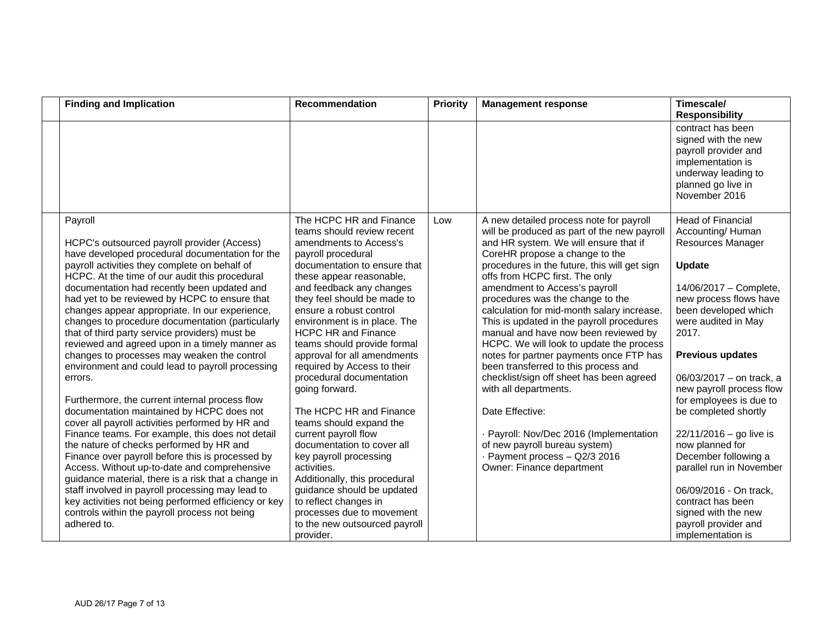| <b>Finding and Implication</b>                                                                                                                                                                                                                                                                                                                                                                                                                                                                                                                                                                                                                                                                                                                                                                                                                                                                                                                                                                                                                                                                                                                                                                                                 | <b>Recommendation</b>                                                                                                                                                                                                                                                                                                                                                                                                                                                                                                                                                                                                                                                                                                                                                                    | <b>Priority</b> | <b>Management response</b>                                                                                                                                                                                                                                                                                                                                                                                                                                                                                                                                                                                                                                                                                                                                                                                                   | Timescale/<br><b>Responsibility</b>                                                                                                                                                                                                                                                                                                                                                                                                                                                                                                                         |
|--------------------------------------------------------------------------------------------------------------------------------------------------------------------------------------------------------------------------------------------------------------------------------------------------------------------------------------------------------------------------------------------------------------------------------------------------------------------------------------------------------------------------------------------------------------------------------------------------------------------------------------------------------------------------------------------------------------------------------------------------------------------------------------------------------------------------------------------------------------------------------------------------------------------------------------------------------------------------------------------------------------------------------------------------------------------------------------------------------------------------------------------------------------------------------------------------------------------------------|------------------------------------------------------------------------------------------------------------------------------------------------------------------------------------------------------------------------------------------------------------------------------------------------------------------------------------------------------------------------------------------------------------------------------------------------------------------------------------------------------------------------------------------------------------------------------------------------------------------------------------------------------------------------------------------------------------------------------------------------------------------------------------------|-----------------|------------------------------------------------------------------------------------------------------------------------------------------------------------------------------------------------------------------------------------------------------------------------------------------------------------------------------------------------------------------------------------------------------------------------------------------------------------------------------------------------------------------------------------------------------------------------------------------------------------------------------------------------------------------------------------------------------------------------------------------------------------------------------------------------------------------------------|-------------------------------------------------------------------------------------------------------------------------------------------------------------------------------------------------------------------------------------------------------------------------------------------------------------------------------------------------------------------------------------------------------------------------------------------------------------------------------------------------------------------------------------------------------------|
|                                                                                                                                                                                                                                                                                                                                                                                                                                                                                                                                                                                                                                                                                                                                                                                                                                                                                                                                                                                                                                                                                                                                                                                                                                |                                                                                                                                                                                                                                                                                                                                                                                                                                                                                                                                                                                                                                                                                                                                                                                          |                 |                                                                                                                                                                                                                                                                                                                                                                                                                                                                                                                                                                                                                                                                                                                                                                                                                              | contract has been<br>signed with the new<br>payroll provider and<br>implementation is<br>underway leading to<br>planned go live in<br>November 2016                                                                                                                                                                                                                                                                                                                                                                                                         |
| Payroll<br>HCPC's outsourced payroll provider (Access)<br>have developed procedural documentation for the<br>payroll activities they complete on behalf of<br>HCPC. At the time of our audit this procedural<br>documentation had recently been updated and<br>had yet to be reviewed by HCPC to ensure that<br>changes appear appropriate. In our experience,<br>changes to procedure documentation (particularly<br>that of third party service providers) must be<br>reviewed and agreed upon in a timely manner as<br>changes to processes may weaken the control<br>environment and could lead to payroll processing<br>errors.<br>Furthermore, the current internal process flow<br>documentation maintained by HCPC does not<br>cover all payroll activities performed by HR and<br>Finance teams. For example, this does not detail<br>the nature of checks performed by HR and<br>Finance over payroll before this is processed by<br>Access. Without up-to-date and comprehensive<br>guidance material, there is a risk that a change in<br>staff involved in payroll processing may lead to<br>key activities not being performed efficiency or key<br>controls within the payroll process not being<br>adhered to. | The HCPC HR and Finance<br>teams should review recent<br>amendments to Access's<br>payroll procedural<br>documentation to ensure that<br>these appear reasonable,<br>and feedback any changes<br>they feel should be made to<br>ensure a robust control<br>environment is in place. The<br><b>HCPC HR and Finance</b><br>teams should provide formal<br>approval for all amendments<br>required by Access to their<br>procedural documentation<br>going forward.<br>The HCPC HR and Finance<br>teams should expand the<br>current payroll flow<br>documentation to cover all<br>key payroll processing<br>activities.<br>Additionally, this procedural<br>guidance should be updated<br>to reflect changes in<br>processes due to movement<br>to the new outsourced payroll<br>provider. | Low             | A new detailed process note for payroll<br>will be produced as part of the new payroll<br>and HR system. We will ensure that if<br>CoreHR propose a change to the<br>procedures in the future, this will get sign<br>offs from HCPC first. The only<br>amendment to Access's payroll<br>procedures was the change to the<br>calculation for mid-month salary increase.<br>This is updated in the payroll procedures<br>manual and have now been reviewed by<br>HCPC. We will look to update the process<br>notes for partner payments once FTP has<br>been transferred to this process and<br>checklist/sign off sheet has been agreed<br>with all departments.<br>Date Effective:<br>- Payroll: Nov/Dec 2016 (Implementation<br>of new payroll bureau system)<br>- Payment process - Q2/3 2016<br>Owner: Finance department | <b>Head of Financial</b><br>Accounting/Human<br>Resources Manager<br><b>Update</b><br>14/06/2017 - Complete,<br>new process flows have<br>been developed which<br>were audited in May<br>2017.<br><b>Previous updates</b><br>06/03/2017 - on track, a<br>new payroll process flow<br>for employees is due to<br>be completed shortly<br>$22/11/2016 -$ go live is<br>now planned for<br>December following a<br>parallel run in November<br>06/09/2016 - On track,<br>contract has been<br>signed with the new<br>payroll provider and<br>implementation is |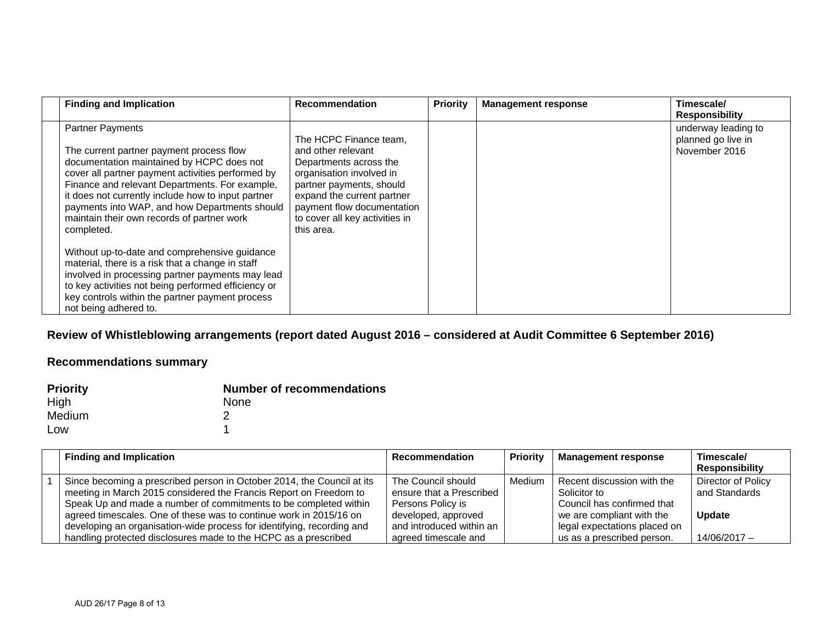| <b>Finding and Implication</b>                                                                                                                                                                                                                                                                                                                                                                                                                                                                                                                                                                                                                                                         | <b>Recommendation</b>                                                                                                                                                                                                                      | <b>Priority</b> | <b>Management response</b> | Timescale/<br><b>Responsibility</b>                        |
|----------------------------------------------------------------------------------------------------------------------------------------------------------------------------------------------------------------------------------------------------------------------------------------------------------------------------------------------------------------------------------------------------------------------------------------------------------------------------------------------------------------------------------------------------------------------------------------------------------------------------------------------------------------------------------------|--------------------------------------------------------------------------------------------------------------------------------------------------------------------------------------------------------------------------------------------|-----------------|----------------------------|------------------------------------------------------------|
| <b>Partner Payments</b><br>The current partner payment process flow<br>documentation maintained by HCPC does not<br>cover all partner payment activities performed by<br>Finance and relevant Departments. For example,<br>it does not currently include how to input partner<br>payments into WAP, and how Departments should<br>maintain their own records of partner work<br>completed.<br>Without up-to-date and comprehensive guidance<br>material, there is a risk that a change in staff<br>involved in processing partner payments may lead<br>to key activities not being performed efficiency or<br>key controls within the partner payment process<br>not being adhered to. | The HCPC Finance team.<br>and other relevant<br>Departments across the<br>organisation involved in<br>partner payments, should<br>expand the current partner<br>payment flow documentation<br>to cover all key activities in<br>this area. |                 |                            | underway leading to<br>planned go live in<br>November 2016 |

# **Review of Whistleblowing arrangements (report dated August 2016 – considered at Audit Committee 6 September 2016)**

| <b>Priority</b> | <b>Number of recommendations</b> |
|-----------------|----------------------------------|
| High            | <b>None</b>                      |
| Medium          |                                  |
| Low             |                                  |

| <b>Finding and Implication</b>                                         | <b>Recommendation</b>    | <b>Priority</b> | <b>Management response</b>   | Timescale/            |
|------------------------------------------------------------------------|--------------------------|-----------------|------------------------------|-----------------------|
|                                                                        |                          |                 |                              | <b>Responsibility</b> |
| Since becoming a prescribed person in October 2014, the Council at its | The Council should       | Medium          | Recent discussion with the   | Director of Policy    |
| meeting in March 2015 considered the Francis Report on Freedom to      | ensure that a Prescribed |                 | Solicitor to                 | and Standards         |
| Speak Up and made a number of commitments to be completed within       | Persons Policy is        |                 | Council has confirmed that   |                       |
| agreed timescales. One of these was to continue work in 2015/16 on     | developed, approved      |                 | we are compliant with the    | <b>Update</b>         |
| developing an organisation-wide process for identifying, recording and | and introduced within an |                 | legal expectations placed on |                       |
| handling protected disclosures made to the HCPC as a prescribed        | agreed timescale and     |                 | us as a prescribed person.   | 14/06/2017 -          |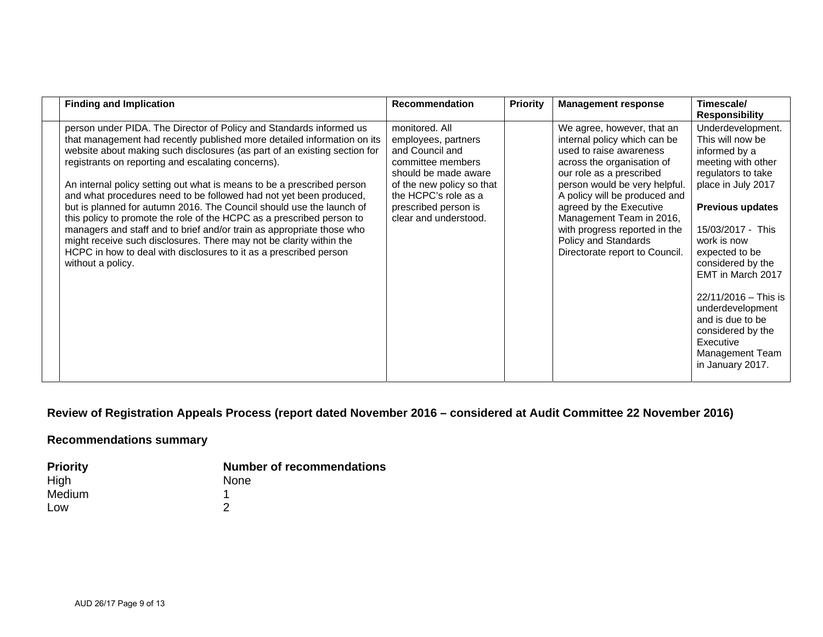| <b>Finding and Implication</b>                                                                                                                                                                                                                                                                                                                                                                                                                                                                                                                                                                                                                                                                                                                                                                                               | <b>Recommendation</b>                                                                                                                                                                                       | <b>Priority</b> | <b>Management response</b>                                                                                                                                                                                                                                                                                                                                          | Timescale/<br><b>Responsibility</b>                                                                                                                                                                                                                                                                                                                                                            |
|------------------------------------------------------------------------------------------------------------------------------------------------------------------------------------------------------------------------------------------------------------------------------------------------------------------------------------------------------------------------------------------------------------------------------------------------------------------------------------------------------------------------------------------------------------------------------------------------------------------------------------------------------------------------------------------------------------------------------------------------------------------------------------------------------------------------------|-------------------------------------------------------------------------------------------------------------------------------------------------------------------------------------------------------------|-----------------|---------------------------------------------------------------------------------------------------------------------------------------------------------------------------------------------------------------------------------------------------------------------------------------------------------------------------------------------------------------------|------------------------------------------------------------------------------------------------------------------------------------------------------------------------------------------------------------------------------------------------------------------------------------------------------------------------------------------------------------------------------------------------|
| person under PIDA. The Director of Policy and Standards informed us<br>that management had recently published more detailed information on its<br>website about making such disclosures (as part of an existing section for<br>registrants on reporting and escalating concerns).<br>An internal policy setting out what is means to be a prescribed person<br>and what procedures need to be followed had not yet been produced,<br>but is planned for autumn 2016. The Council should use the launch of<br>this policy to promote the role of the HCPC as a prescribed person to<br>managers and staff and to brief and/or train as appropriate those who<br>might receive such disclosures. There may not be clarity within the<br>HCPC in how to deal with disclosures to it as a prescribed person<br>without a policy. | monitored, All<br>employees, partners<br>and Council and<br>committee members<br>should be made aware<br>of the new policy so that<br>the HCPC's role as a<br>prescribed person is<br>clear and understood. |                 | We agree, however, that an<br>internal policy which can be<br>used to raise awareness<br>across the organisation of<br>our role as a prescribed<br>person would be very helpful.<br>A policy will be produced and<br>agreed by the Executive<br>Management Team in 2016,<br>with progress reported in the<br>Policy and Standards<br>Directorate report to Council. | Underdevelopment.<br>This will now be<br>informed by a<br>meeting with other<br>regulators to take<br>place in July 2017<br><b>Previous updates</b><br>15/03/2017 - This<br>work is now<br>expected to be<br>considered by the<br>EMT in March 2017<br>$22/11/2016 -$ This is<br>underdevelopment<br>and is due to be<br>considered by the<br>Executive<br>Management Team<br>in January 2017. |

# **Review of Registration Appeals Process (report dated November 2016 – considered at Audit Committee 22 November 2016)**

| <b>Priority</b> | <b>Number of recommendations</b> |
|-----------------|----------------------------------|
| High            | <b>None</b>                      |
| Medium          |                                  |
| Low             |                                  |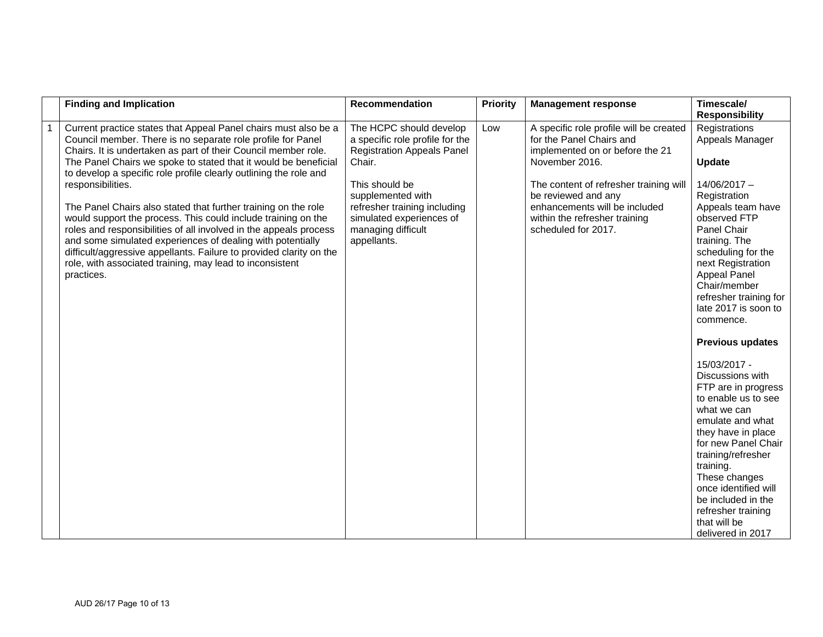| <b>Finding and Implication</b>                                                                                                                                                                                                                                                                                                                                                                                                                                                                                                                                                                                                                                                                                                                                                       | <b>Recommendation</b>                                                                                                                                                                                                                             | <b>Priority</b> | <b>Management response</b>                                                                                                                                                                                                                                                         | Timescale/<br><b>Responsibility</b>                                                                                                                                                                                                                                                                                                                                                                                                                                                                                                                                                                                                                               |
|--------------------------------------------------------------------------------------------------------------------------------------------------------------------------------------------------------------------------------------------------------------------------------------------------------------------------------------------------------------------------------------------------------------------------------------------------------------------------------------------------------------------------------------------------------------------------------------------------------------------------------------------------------------------------------------------------------------------------------------------------------------------------------------|---------------------------------------------------------------------------------------------------------------------------------------------------------------------------------------------------------------------------------------------------|-----------------|------------------------------------------------------------------------------------------------------------------------------------------------------------------------------------------------------------------------------------------------------------------------------------|-------------------------------------------------------------------------------------------------------------------------------------------------------------------------------------------------------------------------------------------------------------------------------------------------------------------------------------------------------------------------------------------------------------------------------------------------------------------------------------------------------------------------------------------------------------------------------------------------------------------------------------------------------------------|
| Current practice states that Appeal Panel chairs must also be a<br>Council member. There is no separate role profile for Panel<br>Chairs. It is undertaken as part of their Council member role.<br>The Panel Chairs we spoke to stated that it would be beneficial<br>to develop a specific role profile clearly outlining the role and<br>responsibilities.<br>The Panel Chairs also stated that further training on the role<br>would support the process. This could include training on the<br>roles and responsibilities of all involved in the appeals process<br>and some simulated experiences of dealing with potentially<br>difficult/aggressive appellants. Failure to provided clarity on the<br>role, with associated training, may lead to inconsistent<br>practices. | The HCPC should develop<br>a specific role profile for the<br><b>Registration Appeals Panel</b><br>Chair.<br>This should be<br>supplemented with<br>refresher training including<br>simulated experiences of<br>managing difficult<br>appellants. | Low             | A specific role profile will be created<br>for the Panel Chairs and<br>implemented on or before the 21<br>November 2016.<br>The content of refresher training will<br>be reviewed and any<br>enhancements will be included<br>within the refresher training<br>scheduled for 2017. | Registrations<br>Appeals Manager<br><b>Update</b><br>14/06/2017 -<br>Registration<br>Appeals team have<br>observed FTP<br>Panel Chair<br>training. The<br>scheduling for the<br>next Registration<br><b>Appeal Panel</b><br>Chair/member<br>refresher training for<br>late 2017 is soon to<br>commence.<br><b>Previous updates</b><br>15/03/2017 -<br>Discussions with<br>FTP are in progress<br>to enable us to see<br>what we can<br>emulate and what<br>they have in place<br>for new Panel Chair<br>training/refresher<br>training.<br>These changes<br>once identified will<br>be included in the<br>refresher training<br>that will be<br>delivered in 2017 |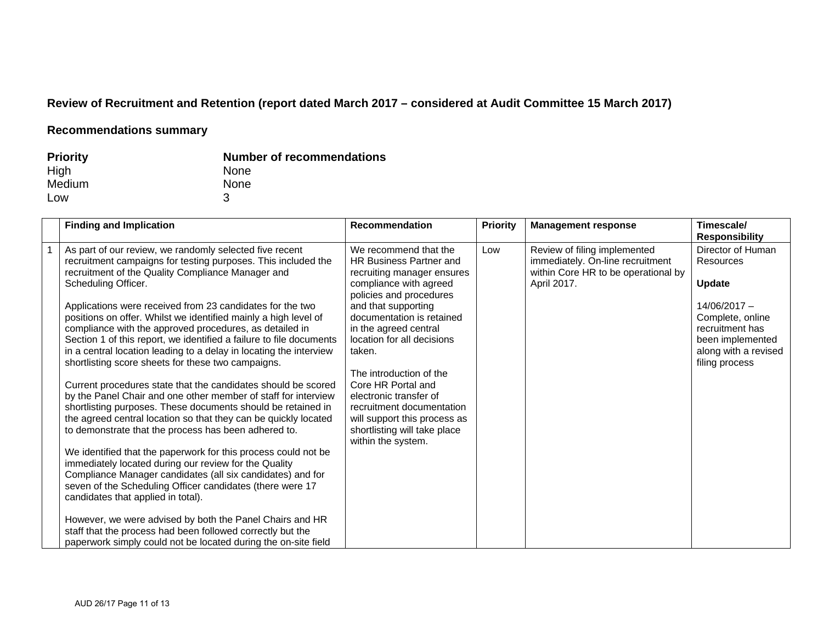# **Review of Recruitment and Retention (report dated March 2017 – considered at Audit Committee 15 March 2017)**

| <b>Priority</b> | <b>Number of recommendations</b> |
|-----------------|----------------------------------|
| High            | <b>None</b>                      |
| Medium          | <b>None</b>                      |
| Low             |                                  |

| <b>Finding and Implication</b>                                                                                                                                                                                                                                                                                                                                                                                                                                                                                                                                                                                                                                                                                                                                                                                                                                                                                                                                                                                                                                                                                                                                                                                                                                                                                                                                                                                           | <b>Recommendation</b>                                                                                                                                                                                                                                                                                                                                                                                                                                  | <b>Priority</b> | <b>Management response</b>                                                                                             | Timescale/<br><b>Responsibility</b>                                                                                                                                    |
|--------------------------------------------------------------------------------------------------------------------------------------------------------------------------------------------------------------------------------------------------------------------------------------------------------------------------------------------------------------------------------------------------------------------------------------------------------------------------------------------------------------------------------------------------------------------------------------------------------------------------------------------------------------------------------------------------------------------------------------------------------------------------------------------------------------------------------------------------------------------------------------------------------------------------------------------------------------------------------------------------------------------------------------------------------------------------------------------------------------------------------------------------------------------------------------------------------------------------------------------------------------------------------------------------------------------------------------------------------------------------------------------------------------------------|--------------------------------------------------------------------------------------------------------------------------------------------------------------------------------------------------------------------------------------------------------------------------------------------------------------------------------------------------------------------------------------------------------------------------------------------------------|-----------------|------------------------------------------------------------------------------------------------------------------------|------------------------------------------------------------------------------------------------------------------------------------------------------------------------|
| As part of our review, we randomly selected five recent<br>recruitment campaigns for testing purposes. This included the<br>recruitment of the Quality Compliance Manager and<br>Scheduling Officer.<br>Applications were received from 23 candidates for the two<br>positions on offer. Whilst we identified mainly a high level of<br>compliance with the approved procedures, as detailed in<br>Section 1 of this report, we identified a failure to file documents<br>in a central location leading to a delay in locating the interview<br>shortlisting score sheets for these two campaigns.<br>Current procedures state that the candidates should be scored<br>by the Panel Chair and one other member of staff for interview<br>shortlisting purposes. These documents should be retained in<br>the agreed central location so that they can be quickly located<br>to demonstrate that the process has been adhered to.<br>We identified that the paperwork for this process could not be<br>immediately located during our review for the Quality<br>Compliance Manager candidates (all six candidates) and for<br>seven of the Scheduling Officer candidates (there were 17<br>candidates that applied in total).<br>However, we were advised by both the Panel Chairs and HR<br>staff that the process had been followed correctly but the<br>paperwork simply could not be located during the on-site field | We recommend that the<br>HR Business Partner and<br>recruiting manager ensures<br>compliance with agreed<br>policies and procedures<br>and that supporting<br>documentation is retained<br>in the agreed central<br>location for all decisions<br>taken.<br>The introduction of the<br>Core HR Portal and<br>electronic transfer of<br>recruitment documentation<br>will support this process as<br>shortlisting will take place<br>within the system. | Low             | Review of filing implemented<br>immediately. On-line recruitment<br>within Core HR to be operational by<br>April 2017. | Director of Human<br>Resources<br><b>Update</b><br>$14/06/2017 -$<br>Complete, online<br>recruitment has<br>been implemented<br>along with a revised<br>filing process |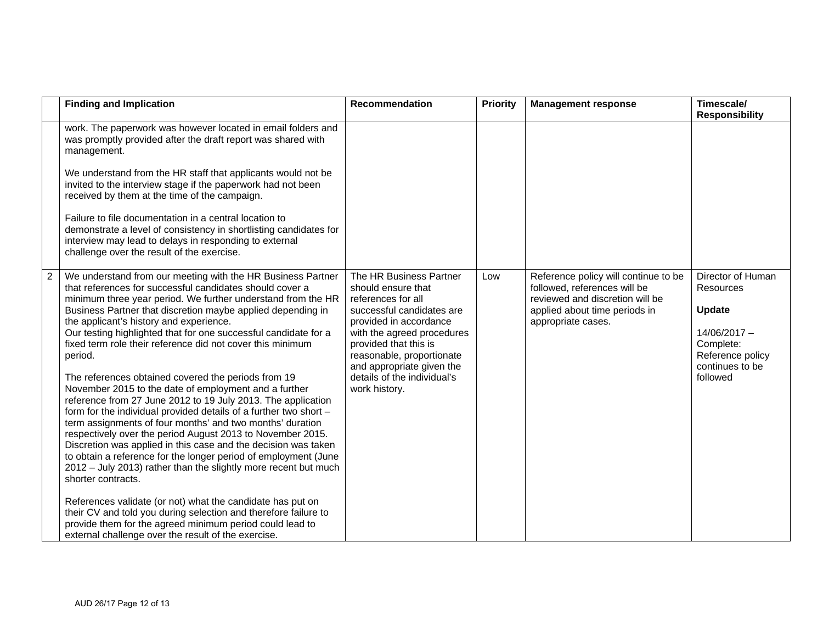|                | <b>Finding and Implication</b>                                                                                                                                                                                                                                                                                                                                                                                                                                                                                                                                                                                                                                                                                                                                                                                                                                                                                                                                                                                                                                                                                                                                                                                                                                                                                  | Recommendation                                                                                                                                                                                                                                                                              | <b>Priority</b> | <b>Management response</b>                                                                                                                                     | Timescale/<br><b>Responsibility</b>                                                                                                      |
|----------------|-----------------------------------------------------------------------------------------------------------------------------------------------------------------------------------------------------------------------------------------------------------------------------------------------------------------------------------------------------------------------------------------------------------------------------------------------------------------------------------------------------------------------------------------------------------------------------------------------------------------------------------------------------------------------------------------------------------------------------------------------------------------------------------------------------------------------------------------------------------------------------------------------------------------------------------------------------------------------------------------------------------------------------------------------------------------------------------------------------------------------------------------------------------------------------------------------------------------------------------------------------------------------------------------------------------------|---------------------------------------------------------------------------------------------------------------------------------------------------------------------------------------------------------------------------------------------------------------------------------------------|-----------------|----------------------------------------------------------------------------------------------------------------------------------------------------------------|------------------------------------------------------------------------------------------------------------------------------------------|
|                | work. The paperwork was however located in email folders and<br>was promptly provided after the draft report was shared with<br>management.<br>We understand from the HR staff that applicants would not be<br>invited to the interview stage if the paperwork had not been<br>received by them at the time of the campaign.<br>Failure to file documentation in a central location to<br>demonstrate a level of consistency in shortlisting candidates for<br>interview may lead to delays in responding to external<br>challenge over the result of the exercise.                                                                                                                                                                                                                                                                                                                                                                                                                                                                                                                                                                                                                                                                                                                                             |                                                                                                                                                                                                                                                                                             |                 |                                                                                                                                                                |                                                                                                                                          |
| $\overline{2}$ | We understand from our meeting with the HR Business Partner<br>that references for successful candidates should cover a<br>minimum three year period. We further understand from the HR<br>Business Partner that discretion maybe applied depending in<br>the applicant's history and experience.<br>Our testing highlighted that for one successful candidate for a<br>fixed term role their reference did not cover this minimum<br>period.<br>The references obtained covered the periods from 19<br>November 2015 to the date of employment and a further<br>reference from 27 June 2012 to 19 July 2013. The application<br>form for the individual provided details of a further two short -<br>term assignments of four months' and two months' duration<br>respectively over the period August 2013 to November 2015.<br>Discretion was applied in this case and the decision was taken<br>to obtain a reference for the longer period of employment (June<br>2012 - July 2013) rather than the slightly more recent but much<br>shorter contracts.<br>References validate (or not) what the candidate has put on<br>their CV and told you during selection and therefore failure to<br>provide them for the agreed minimum period could lead to<br>external challenge over the result of the exercise. | The HR Business Partner<br>should ensure that<br>references for all<br>successful candidates are<br>provided in accordance<br>with the agreed procedures<br>provided that this is<br>reasonable, proportionate<br>and appropriate given the<br>details of the individual's<br>work history. | Low             | Reference policy will continue to be<br>followed, references will be<br>reviewed and discretion will be<br>applied about time periods in<br>appropriate cases. | Director of Human<br><b>Resources</b><br><b>Update</b><br>$14/06/2017 -$<br>Complete:<br>Reference policy<br>continues to be<br>followed |